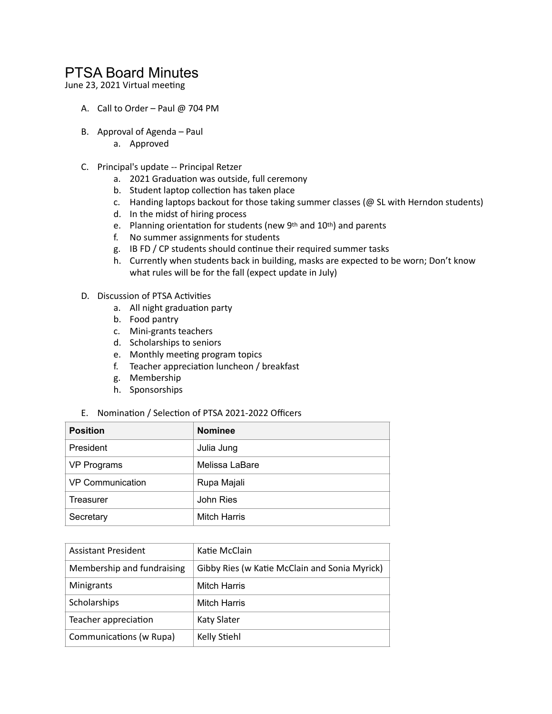## PTSA Board Minutes

June 23, 2021 Virtual meeting

- A. Call to Order Paul @ 704 PM
- B. Approval of Agenda Paul
	- a. Approved
- C. Principal's update -- Principal Retzer
	- a. 2021 Graduation was outside, full ceremony
	- b. Student laptop collection has taken place
	- c. Handing laptops backout for those taking summer classes (@ SL with Herndon students)
	- d. In the midst of hiring process
	- e. Planning orientation for students (new 9th and 10th) and parents
	- f. No summer assignments for students
	- g. IB FD / CP students should continue their required summer tasks
	- h. Currently when students back in building, masks are expected to be worn; Don't know what rules will be for the fall (expect update in July)
- D. Discussion of PTSA Activities
	- a. All night graduation party
	- b. Food pantry
	- c. Mini-grants teachers
	- d. Scholarships to seniors
	- e. Monthly meeting program topics
	- f. Teacher appreciation luncheon / breakfast
	- g. Membership
	- h. Sponsorships
- E. Nomination / Selection of PTSA 2021-2022 Officers

| <b>Position</b>         | <b>Nominee</b>      |
|-------------------------|---------------------|
| President               | Julia Jung          |
| <b>VP Programs</b>      | Melissa LaBare      |
| <b>VP Communication</b> | Rupa Majali         |
| <b>Treasurer</b>        | John Ries           |
| Secretary               | <b>Mitch Harris</b> |

| <b>Assistant President</b> | Katie McClain                                 |
|----------------------------|-----------------------------------------------|
| Membership and fundraising | Gibby Ries (w Katie McClain and Sonia Myrick) |
| Minigrants                 | <b>Mitch Harris</b>                           |
| Scholarships               | <b>Mitch Harris</b>                           |
| Teacher appreciation       | <b>Katy Slater</b>                            |
| Communications (w Rupa)    | Kelly Stiehl                                  |